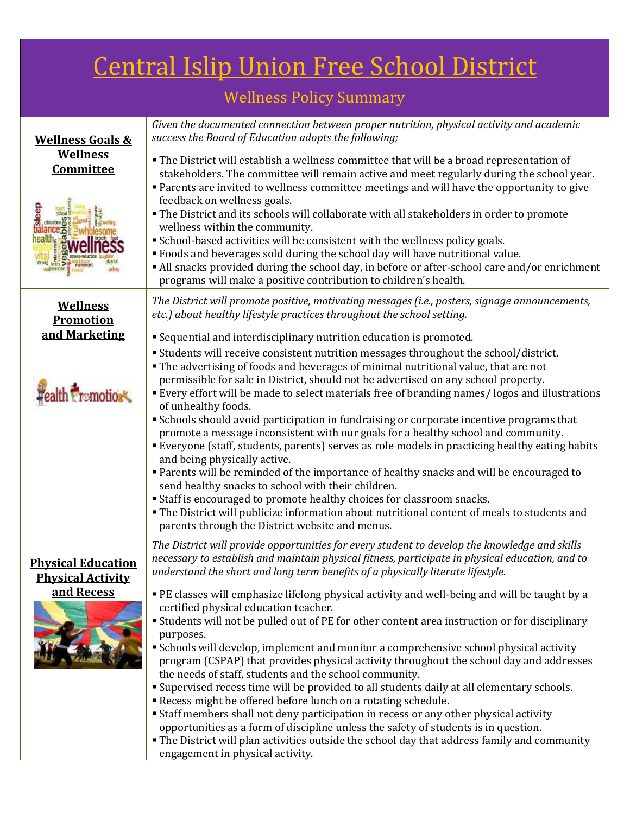## Central Islip Union Free School District

## Wellness Policy Summary

| <b>Wellness Goals &amp;</b>                           | Given the documented connection between proper nutrition, physical activity and academic<br>success the Board of Education adopts the following;                                                                                                                                     |
|-------------------------------------------------------|--------------------------------------------------------------------------------------------------------------------------------------------------------------------------------------------------------------------------------------------------------------------------------------|
| <b>Wellness</b><br>Committee                          | " The District will establish a wellness committee that will be a broad representation of<br>stakeholders. The committee will remain active and meet regularly during the school year.<br>• Parents are invited to wellness committee meetings and will have the opportunity to give |
|                                                       | feedback on wellness goals.<br>• The District and its schools will collaborate with all stakeholders in order to promote<br>wellness within the community.<br>• School-based activities will be consistent with the wellness policy goals.                                           |
|                                                       | " Foods and beverages sold during the school day will have nutritional value.<br>• All snacks provided during the school day, in before or after-school care and/or enrichment<br>programs will make a positive contribution to children's health.                                   |
| <b>Wellness</b><br><b>Promotion</b>                   | The District will promote positive, motivating messages (i.e., posters, signage announcements,<br>etc.) about healthy lifestyle practices throughout the school setting.                                                                                                             |
| and Marketing                                         | Sequential and interdisciplinary nutrition education is promoted.                                                                                                                                                                                                                    |
|                                                       | " Students will receive consistent nutrition messages throughout the school/district.                                                                                                                                                                                                |
|                                                       | • The advertising of foods and beverages of minimal nutritional value, that are not<br>permissible for sale in District, should not be advertised on any school property.                                                                                                            |
| <b>smotions</b>                                       | Every effort will be made to select materials free of branding names/logos and illustrations<br>of unhealthy foods.                                                                                                                                                                  |
|                                                       | Schools should avoid participation in fundraising or corporate incentive programs that                                                                                                                                                                                               |
|                                                       | promote a message inconsistent with our goals for a healthy school and community.<br>" Everyone (staff, students, parents) serves as role models in practicing healthy eating habits<br>and being physically active.                                                                 |
|                                                       | • Parents will be reminded of the importance of healthy snacks and will be encouraged to<br>send healthy snacks to school with their children.                                                                                                                                       |
|                                                       | <b>Staff is encouraged to promote healthy choices for classroom snacks.</b>                                                                                                                                                                                                          |
|                                                       | " The District will publicize information about nutritional content of meals to students and<br>parents through the District website and menus.                                                                                                                                      |
|                                                       | The District will provide opportunities for every student to develop the knowledge and skills                                                                                                                                                                                        |
| <b>Physical Education</b><br><b>Physical Activity</b> | necessary to establish and maintain physical fitness, participate in physical education, and to<br>understand the short and long term benefits of a physically literate lifestyle.                                                                                                   |
| and Recess                                            | " PE classes will emphasize lifelong physical activity and well-being and will be taught by a                                                                                                                                                                                        |
|                                                       | certified physical education teacher.<br>• Students will not be pulled out of PE for other content area instruction or for disciplinary                                                                                                                                              |
|                                                       | purposes.                                                                                                                                                                                                                                                                            |
|                                                       | • Schools will develop, implement and monitor a comprehensive school physical activity                                                                                                                                                                                               |
|                                                       | program (CSPAP) that provides physical activity throughout the school day and addresses<br>the needs of staff, students and the school community.                                                                                                                                    |
|                                                       | " Supervised recess time will be provided to all students daily at all elementary schools.                                                                                                                                                                                           |
|                                                       | Recess might be offered before lunch on a rotating schedule.                                                                                                                                                                                                                         |
|                                                       | • Staff members shall not deny participation in recess or any other physical activity<br>opportunities as a form of discipline unless the safety of students is in question.                                                                                                         |
|                                                       | • The District will plan activities outside the school day that address family and community                                                                                                                                                                                         |
|                                                       | engagement in physical activity.                                                                                                                                                                                                                                                     |